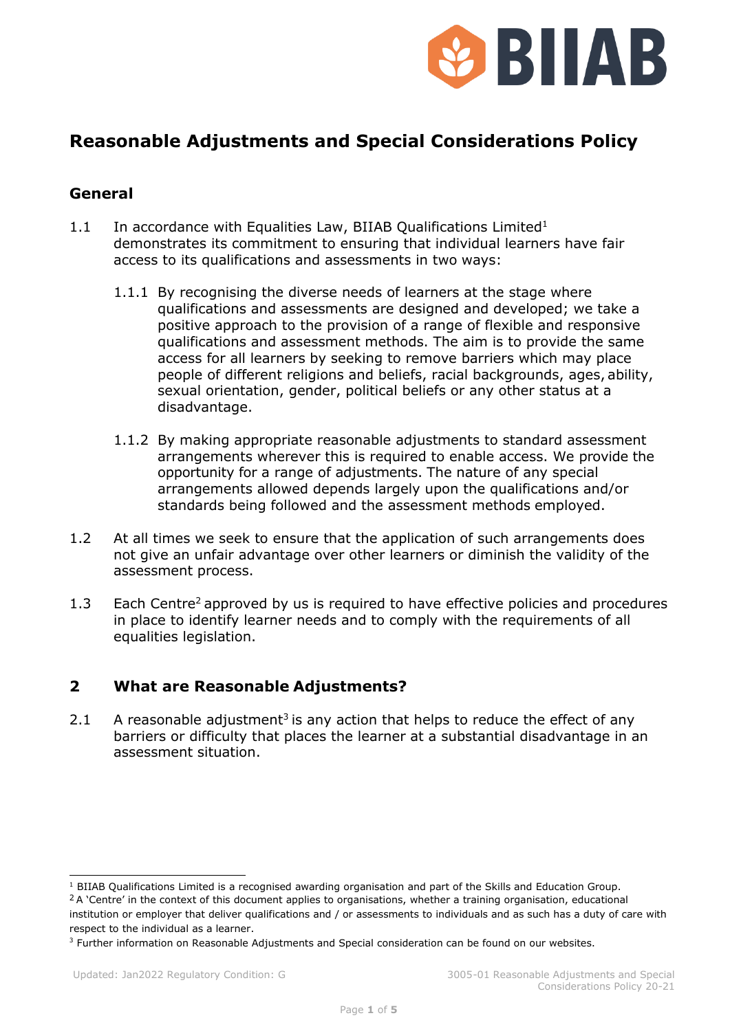

# **Reasonable Adjustments and Special Considerations Policy**

#### **General**

- 1.1 In accordance with Equalities Law, BIIAB Qualifications Limited<sup>1</sup> demonstrates its commitment to ensuring that individual learners have fair access to its qualifications and assessments in two ways:
	- 1.1.1 By recognising the diverse needs of learners at the stage where qualifications and assessments are designed and developed; we take a positive approach to the provision of a range of flexible and responsive qualifications and assessment methods. The aim is to provide the same access for all learners by seeking to remove barriers which may place people of different religions and beliefs, racial backgrounds, ages, ability, sexual orientation, gender, political beliefs or any other status at a disadvantage.
	- 1.1.2 By making appropriate reasonable adjustments to standard assessment arrangements wherever this is required to enable access. We provide the opportunity for a range of adjustments. The nature of any special arrangements allowed depends largely upon the qualifications and/or standards being followed and the assessment methods employed.
- 1.2 At all times we seek to ensure that the application of such arrangements does not give an unfair advantage over other learners or diminish the validity of the assessment process.
- 1.3 Each Centre<sup>2</sup> approved by us is required to have effective policies and procedures in place to identify learner needs and to comply with the requirements of all equalities legislation.

### **2 What are Reasonable Adjustments?**

2.1 A reasonable adjustment<sup>3</sup> is any action that helps to reduce the effect of any barriers or difficulty that places the learner at a substantial disadvantage in an assessment situation.

 $1$  BIIAB Qualifications Limited is a recognised awarding organisation and part of the Skills and Education Group. <sup>2</sup> A 'Centre' in the context of this document applies to organisations, whether a training organisation, educational institution or employer that deliver qualifications and / or assessments to individuals and as such has a duty of care with respect to the individual as a learner.

<sup>&</sup>lt;sup>3</sup> Further information on Reasonable Adjustments and Special consideration can be found on our websites.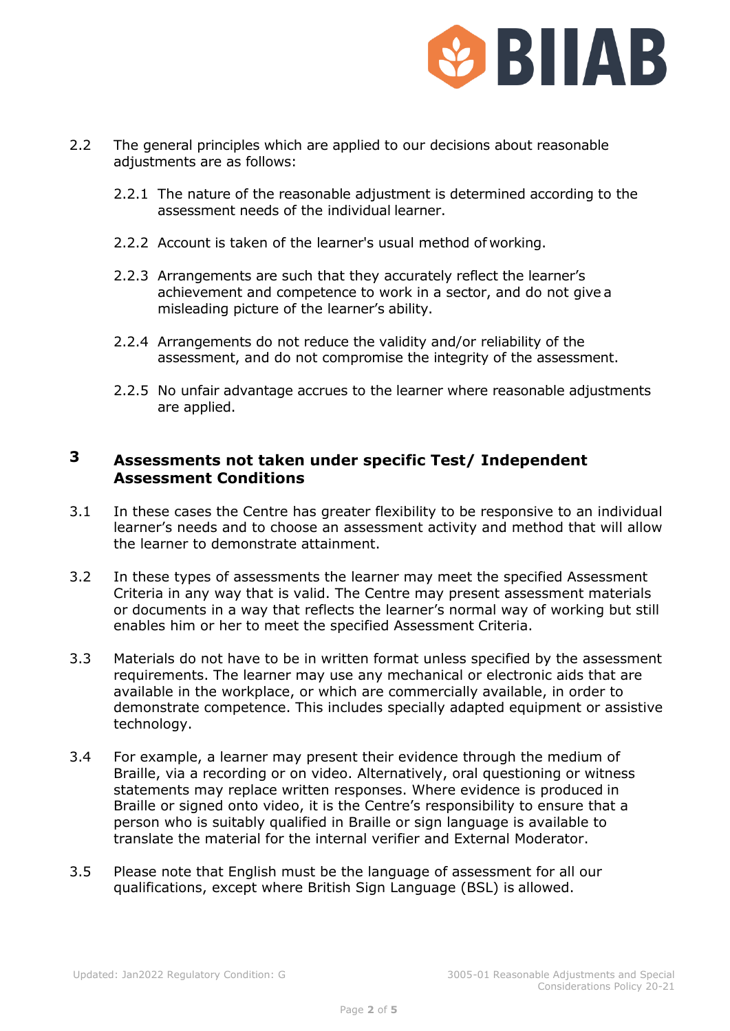

- 2.2 The general principles which are applied to our decisions about reasonable adjustments are as follows:
	- 2.2.1 The nature of the reasonable adjustment is determined according to the assessment needs of the individual learner.
	- 2.2.2 Account is taken of the learner's usual method of working.
	- 2.2.3 Arrangements are such that they accurately reflect the learner's achievement and competence to work in a sector, and do not give a misleading picture of the learner's ability.
	- 2.2.4 Arrangements do not reduce the validity and/or reliability of the assessment, and do not compromise the integrity of the assessment.
	- 2.2.5 No unfair advantage accrues to the learner where reasonable adjustments are applied.

## **3 Assessments not taken under specific Test/ Independent Assessment Conditions**

- 3.1 In these cases the Centre has greater flexibility to be responsive to an individual learner's needs and to choose an assessment activity and method that will allow the learner to demonstrate attainment.
- 3.2 In these types of assessments the learner may meet the specified Assessment Criteria in any way that is valid. The Centre may present assessment materials or documents in a way that reflects the learner's normal way of working but still enables him or her to meet the specified Assessment Criteria.
- 3.3 Materials do not have to be in written format unless specified by the assessment requirements. The learner may use any mechanical or electronic aids that are available in the workplace, or which are commercially available, in order to demonstrate competence. This includes specially adapted equipment or assistive technology.
- 3.4 For example, a learner may present their evidence through the medium of Braille, via a recording or on video. Alternatively, oral questioning or witness statements may replace written responses. Where evidence is produced in Braille or signed onto video, it is the Centre's responsibility to ensure that a person who is suitably qualified in Braille or sign language is available to translate the material for the internal verifier and External Moderator.
- 3.5 Please note that English must be the language of assessment for all our qualifications, except where British Sign Language (BSL) is allowed.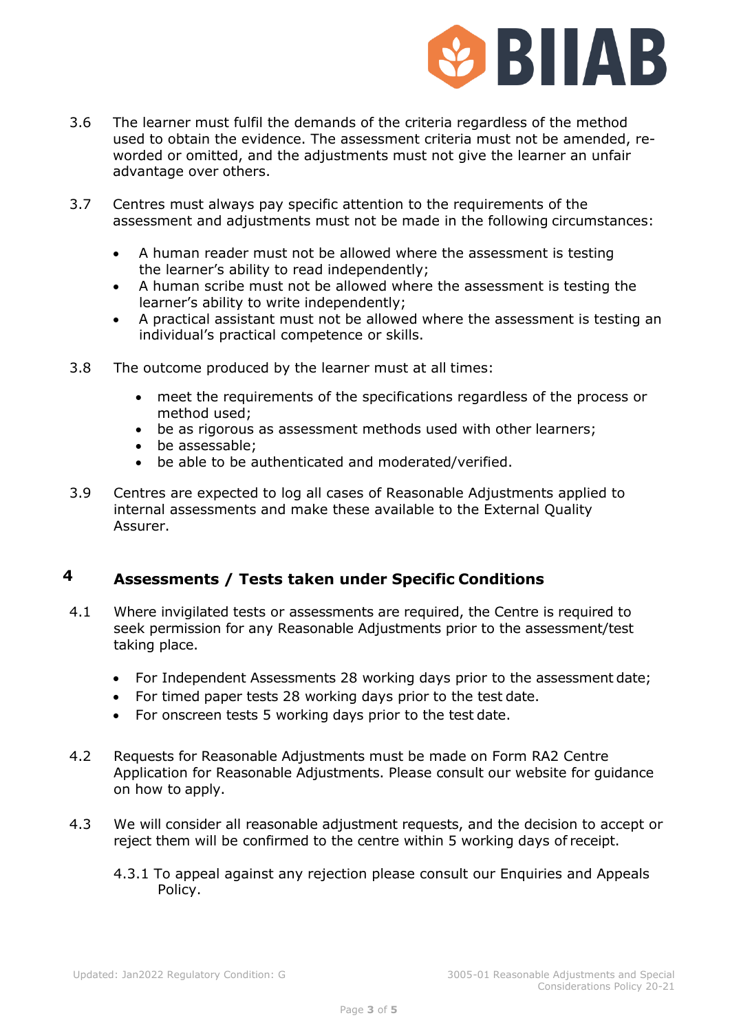

- 3.6 The learner must fulfil the demands of the criteria regardless of the method used to obtain the evidence. The assessment criteria must not be amended, reworded or omitted, and the adjustments must not give the learner an unfair advantage over others.
- 3.7 Centres must always pay specific attention to the requirements of the assessment and adjustments must not be made in the following circumstances:
	- A human reader must not be allowed where the assessment is testing the learner's ability to read independently;
	- A human scribe must not be allowed where the assessment is testing the learner's ability to write independently;
	- A practical assistant must not be allowed where the assessment is testing an individual's practical competence or skills.
- 3.8 The outcome produced by the learner must at all times:
	- meet the requirements of the specifications regardless of the process or method used;
	- be as rigorous as assessment methods used with other learners;
	- be assessable;
	- be able to be authenticated and moderated/verified.
- 3.9 Centres are expected to log all cases of Reasonable Adjustments applied to internal assessments and make these available to the External Quality Assurer.

# **4 Assessments / Tests taken under Specific Conditions**

- 4.1 Where invigilated tests or assessments are required, the Centre is required to seek permission for any Reasonable Adjustments prior to the assessment/test taking place.
	- For Independent Assessments 28 working days prior to the assessment date;
	- For timed paper tests 28 working days prior to the test date.
	- For onscreen tests 5 working days prior to the test date.
- 4.2 Requests for Reasonable Adjustments must be made on Form RA2 Centre Application for Reasonable Adjustments. Please consult our website for guidance on how to apply.
- 4.3 We will consider all reasonable adjustment requests, and the decision to accept or reject them will be confirmed to the centre within 5 working days of receipt.
	- 4.3.1 To appeal against any rejection please consult our Enquiries and Appeals Policy.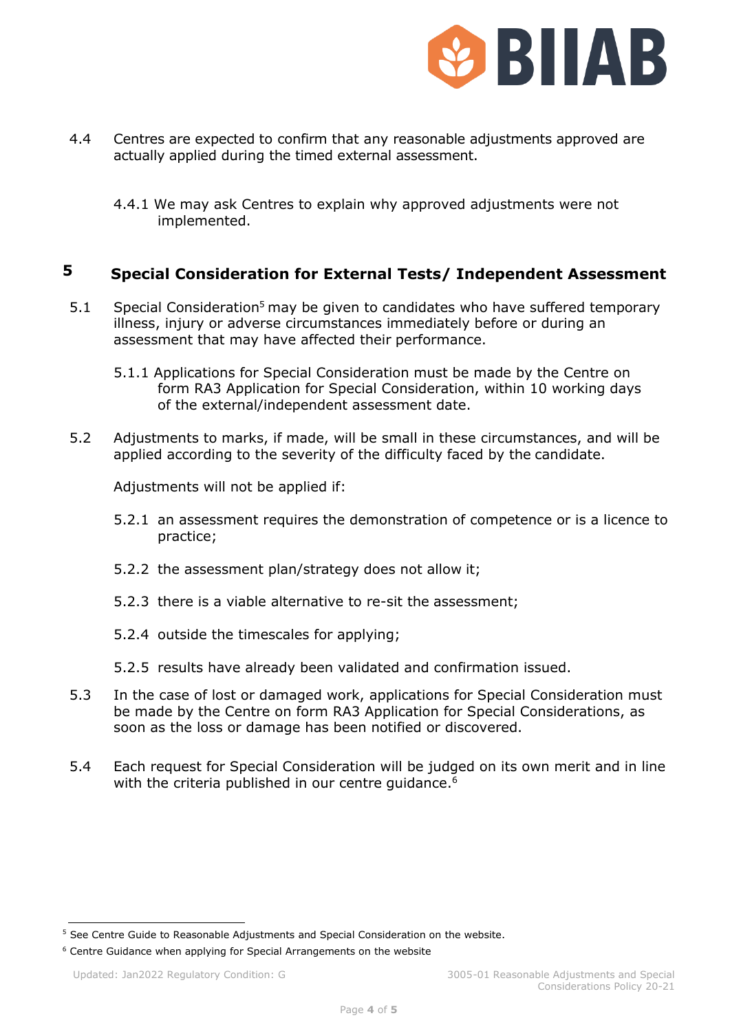

- 4.4 Centres are expected to confirm that any reasonable adjustments approved are actually applied during the timed external assessment.
	- 4.4.1 We may ask Centres to explain why approved adjustments were not implemented.

## **5 Special Consideration for External Tests/ Independent Assessment**

- 5.1 Special Consideration<sup>5</sup> may be given to candidates who have suffered temporary illness, injury or adverse circumstances immediately before or during an assessment that may have affected their performance.
	- 5.1.1 Applications for Special Consideration must be made by the Centre on form RA3 Application for Special Consideration, within 10 working days of the external/independent assessment date.
- 5.2 Adjustments to marks, if made, will be small in these circumstances, and will be applied according to the severity of the difficulty faced by the candidate.

Adjustments will not be applied if:

- 5.2.1 an assessment requires the demonstration of competence or is a licence to practice;
- 5.2.2 the assessment plan/strategy does not allow it;
- 5.2.3 there is a viable alternative to re-sit the assessment;
- 5.2.4 outside the timescales for applying;
- 5.2.5 results have already been validated and confirmation issued.
- 5.3 In the case of lost or damaged work, applications for Special Consideration must be made by the Centre on form RA3 Application for Special Considerations, as soon as the loss or damage has been notified or discovered.
- 5.4 Each request for Special Consideration will be judged on its own merit and in line with the criteria published in our centre quidance.<sup>6</sup>

<sup>5</sup> See Centre Guide to Reasonable Adjustments and Special Consideration on the website.

<sup>&</sup>lt;sup>6</sup> Centre Guidance when applying for Special Arrangements on the website